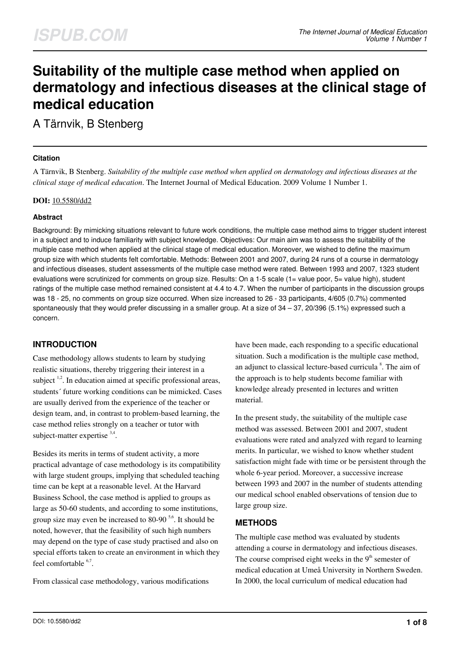# **Suitability of the multiple case method when applied on dermatology and infectious diseases at the clinical stage of medical education**

A Tärnvik, B Stenberg

## **Citation**

A Tärnvik, B Stenberg. *Suitability of the multiple case method when applied on dermatology and infectious diseases at the clinical stage of medical education*. The Internet Journal of Medical Education. 2009 Volume 1 Number 1.

#### **DOI:** [10.5580/dd2](https://ispub.com/doi/10.5580/dd2)

## **Abstract**

Background: By mimicking situations relevant to future work conditions, the multiple case method aims to trigger student interest in a subject and to induce familiarity with subject knowledge. Objectives: Our main aim was to assess the suitability of the multiple case method when applied at the clinical stage of medical education. Moreover, we wished to define the maximum group size with which students felt comfortable. Methods: Between 2001 and 2007, during 24 runs of a course in dermatology and infectious diseases, student assessments of the multiple case method were rated. Between 1993 and 2007, 1323 student evaluations were scrutinized for comments on group size. Results: On a 1-5 scale (1= value poor, 5= value high), student ratings of the multiple case method remained consistent at 4.4 to 4.7. When the number of participants in the discussion groups was 18 - 25, no comments on group size occurred. When size increased to 26 - 33 participants, 4/605 (0.7%) commented spontaneously that they would prefer discussing in a smaller group. At a size of 34 – 37, 20/396 (5.1%) expressed such a concern.

# **INTRODUCTION**

Case methodology allows students to learn by studying realistic situations, thereby triggering their interest in a subject  $1,2$ . In education aimed at specific professional areas, students´ future working conditions can be mimicked. Cases are usually derived from the experience of the teacher or design team, and, in contrast to problem-based learning, the case method relies strongly on a teacher or tutor with subject-matter expertise  $3,4$ .

Besides its merits in terms of student activity, a more practical advantage of case methodology is its compatibility with large student groups, implying that scheduled teaching time can be kept at a reasonable level. At the Harvard Business School, the case method is applied to groups as large as 50-60 students, and according to some institutions, group size may even be increased to 80-90 $5.6$ . It should be noted, however, that the feasibility of such high numbers may depend on the type of case study practised and also on special efforts taken to create an environment in which they feel comfortable  $6,7$ .

From classical case methodology, various modifications

have been made, each responding to a specific educational situation. Such a modification is the multiple case method, an adjunct to classical lecture-based curricula<sup>8</sup>. The aim of the approach is to help students become familiar with knowledge already presented in lectures and written material.

In the present study, the suitability of the multiple case method was assessed. Between 2001 and 2007, student evaluations were rated and analyzed with regard to learning merits. In particular, we wished to know whether student satisfaction might fade with time or be persistent through the whole 6-year period. Moreover, a successive increase between 1993 and 2007 in the number of students attending our medical school enabled observations of tension due to large group size.

## **METHODS**

The multiple case method was evaluated by students attending a course in dermatology and infectious diseases. The course comprised eight weeks in the  $9<sup>th</sup>$  semester of medical education at Umeå University in Northern Sweden. In 2000, the local curriculum of medical education had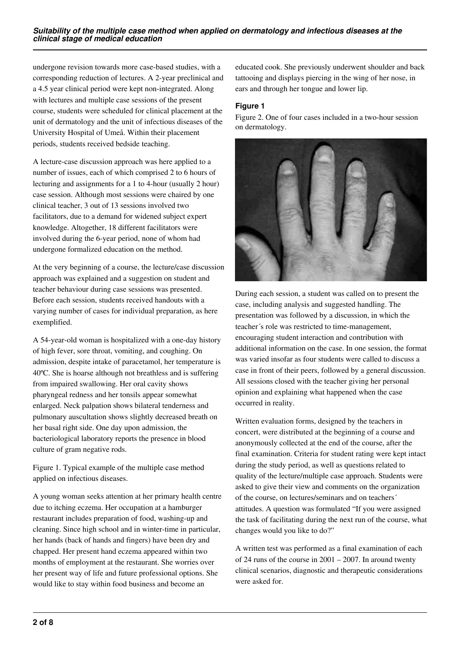undergone revision towards more case-based studies, with a corresponding reduction of lectures. A 2-year preclinical and a 4.5 year clinical period were kept non-integrated. Along with lectures and multiple case sessions of the present course, students were scheduled for clinical placement at the unit of dermatology and the unit of infectious diseases of the University Hospital of Umeå. Within their placement periods, students received bedside teaching.

A lecture-case discussion approach was here applied to a number of issues, each of which comprised 2 to 6 hours of lecturing and assignments for a 1 to 4-hour (usually 2 hour) case session. Although most sessions were chaired by one clinical teacher, 3 out of 13 sessions involved two facilitators, due to a demand for widened subject expert knowledge. Altogether, 18 different facilitators were involved during the 6-year period, none of whom had undergone formalized education on the method.

At the very beginning of a course, the lecture/case discussion approach was explained and a suggestion on student and teacher behaviour during case sessions was presented. Before each session, students received handouts with a varying number of cases for individual preparation, as here exemplified.

A 54-year-old woman is hospitalized with a one-day history of high fever, sore throat, vomiting, and coughing. On admission, despite intake of paracetamol, her temperature is 40ºC. She is hoarse although not breathless and is suffering from impaired swallowing. Her oral cavity shows pharyngeal redness and her tonsils appear somewhat enlarged. Neck palpation shows bilateral tenderness and pulmonary auscultation shows slightly decreased breath on her basal right side. One day upon admission, the bacteriological laboratory reports the presence in blood culture of gram negative rods.

Figure 1. Typical example of the multiple case method applied on infectious diseases.

A young woman seeks attention at her primary health centre due to itching eczema. Her occupation at a hamburger restaurant includes preparation of food, washing-up and cleaning. Since high school and in winter-time in particular, her hands (back of hands and fingers) have been dry and chapped. Her present hand eczema appeared within two months of employment at the restaurant. She worries over her present way of life and future professional options. She would like to stay within food business and become an

educated cook. She previously underwent shoulder and back tattooing and displays piercing in the wing of her nose, in ears and through her tongue and lower lip.

## **Figure 1**

Figure 2. One of four cases included in a two-hour session on dermatology.



During each session, a student was called on to present the case, including analysis and suggested handling. The presentation was followed by a discussion, in which the teacher´s role was restricted to time-management, encouraging student interaction and contribution with additional information on the case. In one session, the format was varied insofar as four students were called to discuss a case in front of their peers, followed by a general discussion. All sessions closed with the teacher giving her personal opinion and explaining what happened when the case occurred in reality.

Written evaluation forms, designed by the teachers in concert, were distributed at the beginning of a course and anonymously collected at the end of the course, after the final examination. Criteria for student rating were kept intact during the study period, as well as questions related to quality of the lecture/multiple case approach. Students were asked to give their view and comments on the organization of the course, on lectures/seminars and on teachers´ attitudes. A question was formulated "If you were assigned the task of facilitating during the next run of the course, what changes would you like to do?"

A written test was performed as a final examination of each of 24 runs of the course in 2001 – 2007. In around twenty clinical scenarios, diagnostic and therapeutic considerations were asked for.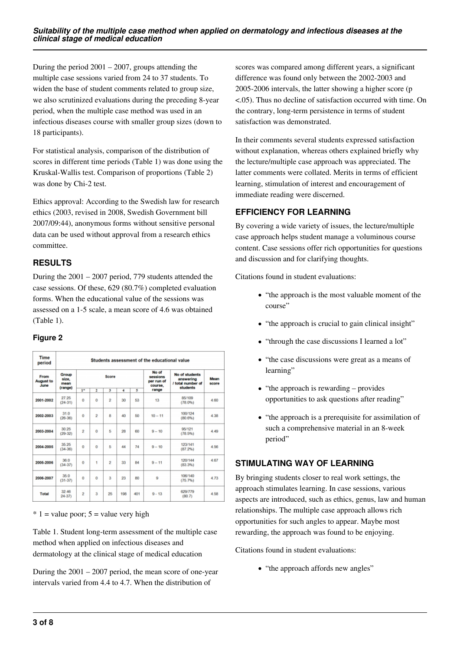During the period  $2001 - 2007$ , groups attending the multiple case sessions varied from 24 to 37 students. To widen the base of student comments related to group size, we also scrutinized evaluations during the preceding 8-year period, when the multiple case method was used in an infectious diseases course with smaller group sizes (down to 18 participants).

For statistical analysis, comparison of the distribution of scores in different time periods (Table 1) was done using the Kruskal-Wallis test. Comparison of proportions (Table 2) was done by Chi-2 test.

Ethics approval: According to the Swedish law for research ethics (2003, revised in 2008, Swedish Government bill 2007/09:44), anonymous forms without sensitive personal data can be used without approval from a research ethics committee.

# **RESULTS**

During the 2001 – 2007 period, 779 students attended the case sessions. Of these, 629 (80.7%) completed evaluation forms. When the educational value of the sessions was assessed on a 1-5 scale, a mean score of 4.6 was obtained (Table 1).

# **Figure 2**

| <b>Time</b><br>period            | Students assessment of the educational value |                         |                         |                |     |     |                                            |                                                  |               |  |  |
|----------------------------------|----------------------------------------------|-------------------------|-------------------------|----------------|-----|-----|--------------------------------------------|--------------------------------------------------|---------------|--|--|
| From<br><b>August to</b><br>June | Group<br>size.<br>mean<br>(range)            | Score                   |                         |                |     |     | No of<br>sessions<br>per run of<br>course. | No of students<br>answering<br>/ total number of | Mean<br>score |  |  |
|                                  |                                              | $\overline{1}$          | 2                       | 3              | 4   | 5   | range                                      | students                                         |               |  |  |
| 2001-2002                        | 27.25<br>$(24-31)$                           | o                       | $\theta$                | $\overline{2}$ | 30  | 53  | 13                                         | 85/109<br>(78.0%)                                | 4.60          |  |  |
| 2002-2003                        | 31.0<br>$(26-36)$                            | $\bf{0}$                | $\overline{2}$          | 8              | 40  | 50  | $10 - 11$                                  | 100/124<br>(80.6%)                               | 4.38          |  |  |
| 2003-2004                        | 30.25<br>$(29-32)$                           | $\overline{2}$          | $\ddot{\mathbf{0}}$     | 5              | 28  | 60  | $9 - 10$                                   | 95/121<br>(78.5%)                                | 4.49          |  |  |
| 2004-2005                        | 35.25<br>$(34-36)$                           | $\theta$                | $\theta$                | 5              | 44  | 74  | $9 - 10$                                   | 123/141<br>(87.2%)                               | 4.56          |  |  |
| 2005-2006                        | 36.0<br>$(34 - 37)$                          | $\ddot{\mathbf{0}}$     | 1                       | 2              | 33  | 84  | $9 - 11$                                   | 120/144<br>(83.3%)                               | 4.67          |  |  |
| 2006-2007                        | 35.0<br>$(31 - 37)$                          | $\Omega$                | $\theta$                | 3              | 23  | 80  | 9                                          | 106/140<br>(75.796)                              | 4.73          |  |  |
| <b>Total</b>                     | 32 46<br>$24 - 37$                           | $\overline{\mathbf{2}}$ | $\overline{\mathbf{3}}$ | 25             | 198 | 401 | $9 - 13$                                   | 629/779<br>(80.7)                                | 4.58          |  |  |

 $* 1 =$  value poor;  $5 =$  value very high

Table 1. Student long-term assessment of the multiple case method when applied on infectious diseases and dermatology at the clinical stage of medical education

During the  $2001 - 2007$  period, the mean score of one-year intervals varied from 4.4 to 4.7. When the distribution of

scores was compared among different years, a significant difference was found only between the 2002-2003 and 2005-2006 intervals, the latter showing a higher score (p <.05). Thus no decline of satisfaction occurred with time. On the contrary, long-term persistence in terms of student satisfaction was demonstrated.

In their comments several students expressed satisfaction without explanation, whereas others explained briefly why the lecture/multiple case approach was appreciated. The latter comments were collated. Merits in terms of efficient learning, stimulation of interest and encouragement of immediate reading were discerned.

# **EFFICIENCY FOR LEARNING**

By covering a wide variety of issues, the lecture/multiple case approach helps student manage a voluminous course content. Case sessions offer rich opportunities for questions and discussion and for clarifying thoughts.

Citations found in student evaluations:

- "the approach is the most valuable moment of the course"
- "the approach is crucial to gain clinical insight"
- "through the case discussions I learned a lot"
- "the case discussions were great as a means of learning"
- $\bullet$  "the approach is rewarding provides opportunities to ask questions after reading"
- "the approach is a prerequisite for assimilation of such a comprehensive material in an 8-week period"

# **STIMULATING WAY OF LEARNING**

By bringing students closer to real work settings, the approach stimulates learning. In case sessions, various aspects are introduced, such as ethics, genus, law and human relationships. The multiple case approach allows rich opportunities for such angles to appear. Maybe most rewarding, the approach was found to be enjoying.

Citations found in student evaluations:

• "the approach affords new angles"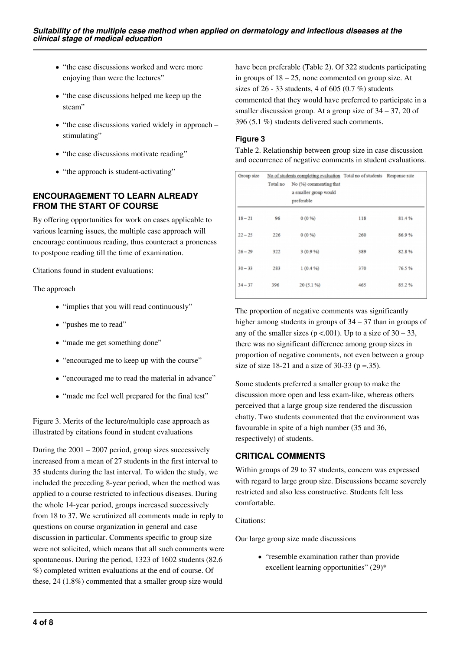- "the case discussions worked and were more enjoying than were the lectures"
- "the case discussions helped me keep up the steam"
- $\bullet$  "the case discussions varied widely in approach stimulating"
- "the case discussions motivate reading"
- "the approach is student-activating"

## **ENCOURAGEMENT TO LEARN ALREADY FROM THE START OF COURSE**

By offering opportunities for work on cases applicable to various learning issues, the multiple case approach will encourage continuous reading, thus counteract a proneness to postpone reading till the time of examination.

Citations found in student evaluations:

The approach

- "implies that you will read continuously"
- "pushes me to read"
- "made me get something done"
- "encouraged me to keep up with the course"
- "encouraged me to read the material in advance"
- "made me feel well prepared for the final test"

Figure 3. Merits of the lecture/multiple case approach as illustrated by citations found in student evaluations

During the  $2001 - 2007$  period, group sizes successively increased from a mean of 27 students in the first interval to 35 students during the last interval. To widen the study, we included the preceding 8-year period, when the method was applied to a course restricted to infectious diseases. During the whole 14-year period, groups increased successively from 18 to 37. We scrutinized all comments made in reply to questions on course organization in general and case discussion in particular. Comments specific to group size were not solicited, which means that all such comments were spontaneous. During the period, 1323 of 1602 students (82.6 %) completed written evaluations at the end of course. Of these, 24 (1.8%) commented that a smaller group size would

have been preferable (Table 2). Of 322 students participating in groups of  $18 - 25$ , none commented on group size. At sizes of 26 - 33 students, 4 of 605 (0.7 %) students commented that they would have preferred to participate in a smaller discussion group. At a group size of 34 – 37, 20 of 396 (5.1 %) students delivered such comments.

## **Figure 3**

Table 2. Relationship between group size in case discussion and occurrence of negative comments in student evaluations.

| Group size | Total no | No of students completing evaluation Total no of students Response rate<br>No (%) commenting that<br>a smaller group would<br>preferable |     |       |  |
|------------|----------|------------------------------------------------------------------------------------------------------------------------------------------|-----|-------|--|
| $18 - 21$  | 96       | $0(0\%)$                                                                                                                                 | 118 | 81.4% |  |
| $22 - 25$  | 226      | $0(0\%)$                                                                                                                                 | 260 | 86.9% |  |
| $26 - 29$  | 322      | 3(0.9%                                                                                                                                   | 389 | 82.8% |  |
| $30 - 33$  | 283      | 1(0.4%                                                                                                                                   | 370 | 76.5% |  |
| $34 - 37$  | 396      | 20(5.1%                                                                                                                                  | 465 | 85.2% |  |
|            |          |                                                                                                                                          |     |       |  |

The proportion of negative comments was significantly higher among students in groups of  $34 - 37$  than in groups of any of the smaller sizes ( $p < .001$ ). Up to a size of 30 – 33, there was no significant difference among group sizes in proportion of negative comments, not even between a group size of size 18-21 and a size of 30-33 ( $p = .35$ ).

Some students preferred a smaller group to make the discussion more open and less exam-like, whereas others perceived that a large group size rendered the discussion chatty. Two students commented that the environment was favourable in spite of a high number (35 and 36, respectively) of students.

# **CRITICAL COMMENTS**

Within groups of 29 to 37 students, concern was expressed with regard to large group size. Discussions became severely restricted and also less constructive. Students felt less comfortable.

#### Citations:

Our large group size made discussions

"resemble examination rather than provide excellent learning opportunities" (29)\*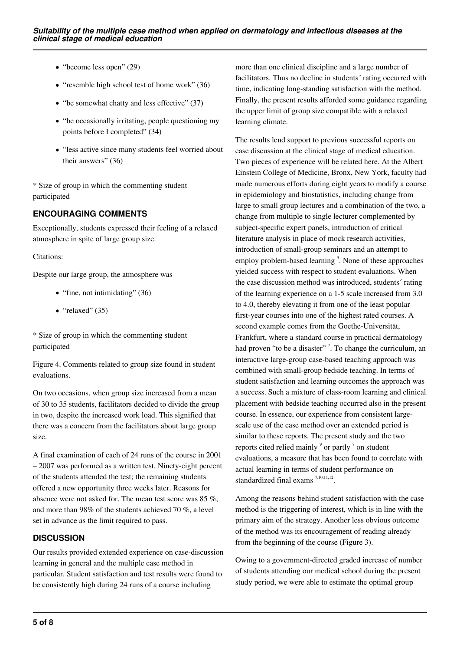- $\bullet$  "become less open" (29)
- $\bullet$  "resemble high school test of home work" (36)
- "be somewhat chatty and less effective" (37)
- "be occasionally irritating, people questioning my points before I completed" (34)
- "less active since many students feel worried about their answers" (36)

\* Size of group in which the commenting student participated

# **ENCOURAGING COMMENTS**

Exceptionally, students expressed their feeling of a relaxed atmosphere in spite of large group size.

#### Citations:

Despite our large group, the atmosphere was

- $\bullet$  "fine, not intimidating" (36)
- $\bullet$  "relaxed" (35)

\* Size of group in which the commenting student participated

Figure 4. Comments related to group size found in student evaluations.

On two occasions, when group size increased from a mean of 30 to 35 students, facilitators decided to divide the group in two, despite the increased work load. This signified that there was a concern from the facilitators about large group size.

A final examination of each of 24 runs of the course in 2001 – 2007 was performed as a written test. Ninety-eight percent of the students attended the test; the remaining students offered a new opportunity three weeks later. Reasons for absence were not asked for. The mean test score was 85 %, and more than 98% of the students achieved 70 %, a level set in advance as the limit required to pass.

# **DISCUSSION**

Our results provided extended experience on case-discussion learning in general and the multiple case method in particular. Student satisfaction and test results were found to be consistently high during 24 runs of a course including

more than one clinical discipline and a large number of facilitators. Thus no decline in students´ rating occurred with time, indicating long-standing satisfaction with the method. Finally, the present results afforded some guidance regarding the upper limit of group size compatible with a relaxed learning climate.

The results lend support to previous successful reports on case discussion at the clinical stage of medical education. Two pieces of experience will be related here. At the Albert Einstein College of Medicine, Bronx, New York, faculty had made numerous efforts during eight years to modify a course in epidemiology and biostatistics, including change from large to small group lectures and a combination of the two, a change from multiple to single lecturer complemented by subject-specific expert panels, introduction of critical literature analysis in place of mock research activities, introduction of small-group seminars and an attempt to employ problem-based learning<sup>9</sup>. None of these approaches yielded success with respect to student evaluations. When the case discussion method was introduced, students´ rating of the learning experience on a 1-5 scale increased from 3.0 to 4.0, thereby elevating it from one of the least popular first-year courses into one of the highest rated courses. A second example comes from the Goethe-Universität, Frankfurt, where a standard course in practical dermatology had proven "to be a disaster"<sup>7</sup>. To change the curriculum, an interactive large-group case-based teaching approach was combined with small-group bedside teaching. In terms of student satisfaction and learning outcomes the approach was a success. Such a mixture of class-room learning and clinical placement with bedside teaching occurred also in the present course. In essence, our experience from consistent largescale use of the case method over an extended period is similar to these reports. The present study and the two reports cited relied mainly  $\degree$  or partly  $\degree$  on student evaluations, a measure that has been found to correlate with actual learning in terms of student performance on standardized final exams  $7,10,11,12$ .

Among the reasons behind student satisfaction with the case method is the triggering of interest, which is in line with the primary aim of the strategy. Another less obvious outcome of the method was its encouragement of reading already from the beginning of the course (Figure 3).

Owing to a government-directed graded increase of number of students attending our medical school during the present study period, we were able to estimate the optimal group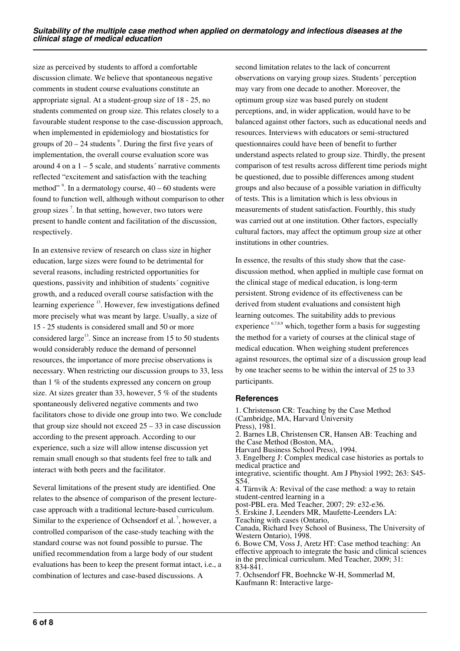size as perceived by students to afford a comfortable discussion climate. We believe that spontaneous negative comments in student course evaluations constitute an appropriate signal. At a student-group size of 18 - 25, no students commented on group size. This relates closely to a favourable student response to the case-discussion approach, when implemented in epidemiology and biostatistics for groups of  $20 - 24$  students<sup>9</sup>. During the first five years of implementation, the overall course evaluation score was around 4 on a  $1 - 5$  scale, and students' narrative comments reflected "excitement and satisfaction with the teaching method"  $\degree$ . In a dermatology course,  $40 - 60$  students were found to function well, although without comparison to other group sizes<sup>7</sup>. In that setting, however, two tutors were present to handle content and facilitation of the discussion, respectively.

In an extensive review of research on class size in higher education, large sizes were found to be detrimental for several reasons, including restricted opportunities for questions, passivity and inhibition of students´ cognitive growth, and a reduced overall course satisfaction with the learning experience <sup>13</sup>. However, few investigations defined more precisely what was meant by large. Usually, a size of 15 - 25 students is considered small and 50 or more considered large<sup>13</sup>. Since an increase from 15 to 50 students would considerably reduce the demand of personnel resources, the importance of more precise observations is necessary. When restricting our discussion groups to 33, less than 1 % of the students expressed any concern on group size. At sizes greater than 33, however, 5 % of the students spontaneously delivered negative comments and two facilitators chose to divide one group into two. We conclude that group size should not exceed  $25 - 33$  in case discussion according to the present approach. According to our experience, such a size will allow intense discussion yet remain small enough so that students feel free to talk and interact with both peers and the facilitator.

Several limitations of the present study are identified. One relates to the absence of comparison of the present lecturecase approach with a traditional lecture-based curriculum. Similar to the experience of Ochsendorf et al.<sup>7</sup>, however, a controlled comparison of the case-study teaching with the standard course was not found possible to pursue. The unified recommendation from a large body of our student evaluations has been to keep the present format intact, i.e., a combination of lectures and case-based discussions. A

second limitation relates to the lack of concurrent observations on varying group sizes. Students´ perception may vary from one decade to another. Moreover, the optimum group size was based purely on student perceptions, and, in wider application, would have to be balanced against other factors, such as educational needs and resources. Interviews with educators or semi-structured questionnaires could have been of benefit to further understand aspects related to group size. Thirdly, the present comparison of test results across different time periods might be questioned, due to possible differences among student groups and also because of a possible variation in difficulty of tests. This is a limitation which is less obvious in measurements of student satisfaction. Fourthly, this study was carried out at one institution. Other factors, especially cultural factors, may affect the optimum group size at other institutions in other countries.

In essence, the results of this study show that the casediscussion method, when applied in multiple case format on the clinical stage of medical education, is long-term persistent. Strong evidence of its effectiveness can be derived from student evaluations and consistent high learning outcomes. The suitability adds to previous experience  $67,8,9$  which, together form a basis for suggesting the method for a variety of courses at the clinical stage of medical education. When weighing student preferences against resources, the optimal size of a discussion group lead by one teacher seems to be within the interval of 25 to 33 participants.

#### **References**

1. Christenson CR: Teaching by the Case Method (Cambridge, MA, Harvard University Press), 1981. 2. Barnes LB, Christensen CR, Hansen AB: Teaching and the Case Method (Boston, MA, Harvard Business School Press), 1994. 3. Engelberg J: Complex medical case histories as portals to medical practice and integrative, scientific thought. Am J Physiol 1992; 263: S45- S54. 4. Tärnvik A: Revival of the case method: a way to retain student-centred learning in a post-PBL era. Med Teacher, 2007; 29: e32-e36. 5. Erskine J, Leenders MR, Maufette-Leenders LA: Teaching with cases (Ontario, Canada, Richard Ivey School of Business, The University of Western Ontario), 1998. 6. Bowe CM, Voss J, Aretz HT: Case method teaching: An effective approach to integrate the basic and clinical sciences in the preclinical curriculum. Med Teacher, 2009; 31: 834-841.

7. Ochsendorf FR, Boehncke W-H, Sommerlad M, Kaufmann R: Interactive large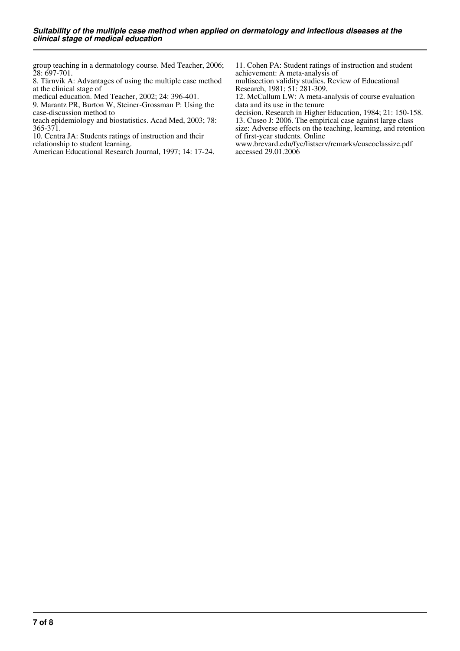group teaching in a dermatology course. Med Teacher, 2006; 28: 697-701.

8. Tärnvik A: Advantages of using the multiple case method at the clinical stage of

medical education. Med Teacher, 2002; 24: 396-401.

9. Marantz PR, Burton W, Steiner-Grossman P: Using the case-discussion method to

teach epidemiology and biostatistics. Acad Med, 2003; 78: 365-371.

10. Centra JA: Students ratings of instruction and their

relationship to student learning.

American Educational Research Journal, 1997; 14: 17-24.

11. Cohen PA: Student ratings of instruction and student achievement: A meta-analysis of

multisection validity studies. Review of Educational Research, 1981; 51: 281-309.

12. McCallum LW: A meta-analysis of course evaluation data and its use in the tenure

decision. Research in Higher Education, 1984; 21: 150-158.

13. Cuseo J: 2006. The empirical case against large class size: Adverse effects on the teaching, learning, and retention of first-year students. Online

www.brevard.edu/fyc/listserv/remarks/cuseoclassize.pdf accessed 29.01.2006